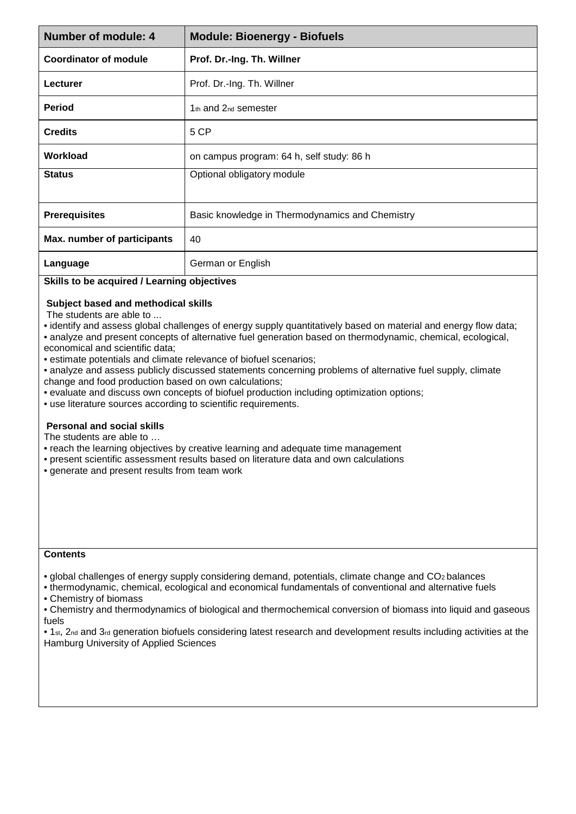| Number of module: 4          | <b>Module: Bioenergy - Biofuels</b>             |
|------------------------------|-------------------------------------------------|
| <b>Coordinator of module</b> | Prof. Dr.-Ing. Th. Willner                      |
| Lecturer                     | Prof. Dr.-Ing. Th. Willner                      |
| <b>Period</b>                | $1th$ and $2nd$ semester                        |
| <b>Credits</b>               | 5 CP                                            |
| Workload                     | on campus program: 64 h, self study: 86 h       |
| <b>Status</b>                | Optional obligatory module                      |
| <b>Prerequisites</b>         | Basic knowledge in Thermodynamics and Chemistry |
| Max. number of participants  | 40                                              |
| Language                     | German or English                               |

## **Skills to be acquired / Learning objectives**

## **Subject based and methodical skills**

The students are able to ...

- identify and assess global challenges of energy supply quantitatively based on material and energy flow data;
- analyze and present concepts of alternative fuel generation based on thermodynamic, chemical, ecological, economical and scientific data;
- estimate potentials and climate relevance of biofuel scenarios;
- analyze and assess publicly discussed statements concerning problems of alternative fuel supply, climate change and food production based on own calculations;
- evaluate and discuss own concepts of biofuel production including optimization options;
- use literature sources according to scientific requirements.

## **Personal and social skills**

The students are able to …

- reach the learning objectives by creative learning and adequate time management
- present scientific assessment results based on literature data and own calculations
- generate and present results from team work

## **Contents**

- global challenges of energy supply considering demand, potentials, climate change and CO2 balances
- thermodynamic, chemical, ecological and economical fundamentals of conventional and alternative fuels • Chemistry of biomass
- Chemistry and thermodynamics of biological and thermochemical conversion of biomass into liquid and gaseous fuels
- 1<sub>st</sub>, 2<sub>nd</sub> and 3<sub>rd</sub> generation biofuels considering latest research and development results including activities at the Hamburg University of Applied Sciences